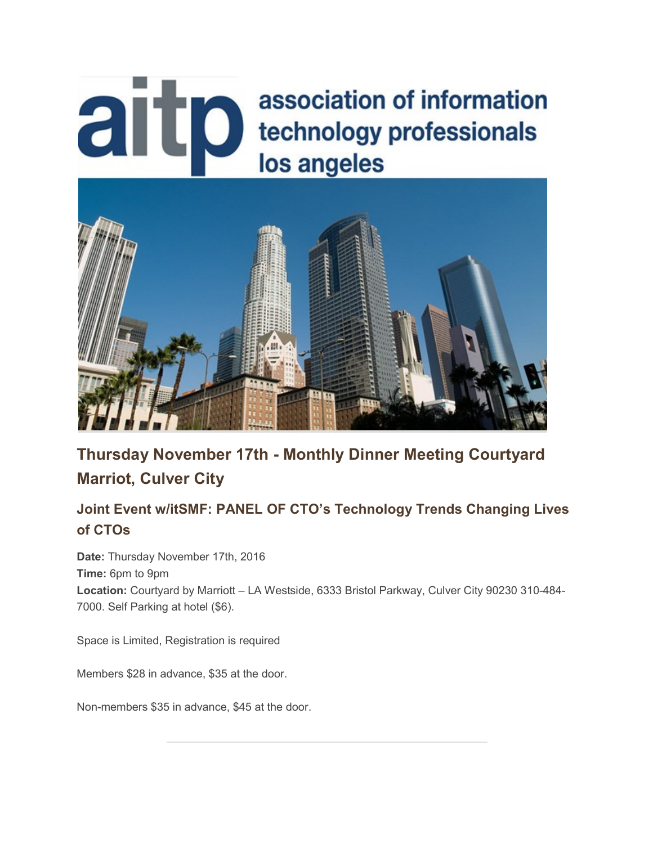# aitp association of information technology professionals los angeles



**Thursday November 17th - Monthly Dinner Meeting Courtyard Marriot, Culver City**

### **Joint Event w/itSMF: PANEL OF CTO's Technology Trends Changing Lives of CTOs**

**Date:** Thursday November 17th, 2016 **Time:** 6pm to 9pm **Location:** Courtyard by Marriott – LA Westside, 6333 Bristol Parkway, Culver City 90230 310-484- 7000. Self Parking at hotel (\$6).

Space is Limited, Registration is required

Members \$28 in advance, \$35 at the door.

Non-members \$35 in advance, \$45 at the door.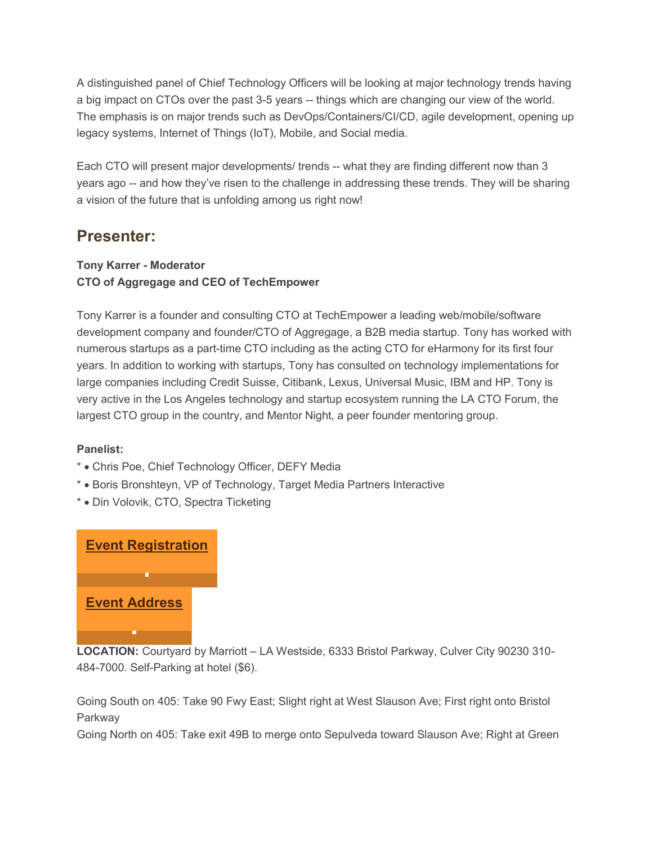A distinguished panel of Chief Technology Officers will be looking at major technology trends having a big impact on CTOs over the past 3-5 years -- things which are changing our view of the world. The emphasis is on major trends such as DevOps/Containers/CI/CD, agile development, opening up legacy systems, Internet of Things (IoT), Mobile, and Social media.

Each CTO will present major developments/ trends -- what they are finding different now than 3 years ago -- and how they've risen to the challenge in addressing these trends. They will be sharing a vision of the future that is unfolding among us right now!

## **Presenter:**

#### **Tony Karrer - Moderator CTO of Aggregage and CEO of TechEmpower**

Tony Karrer is a founder and consulting CTO at TechEmpower a leading web/mobile/software development company and founder/CTO of Aggregage, a B2B media startup. Tony has worked with numerous startups as a part-time CTO including as the acting CTO for eHarmony for its first four years. In addition to working with startups, Tony has consulted on technology implementations for large companies including Credit Suisse, Citibank, Lexus, Universal Music, IBM and HP. Tony is very active in the Los Angeles technology and startup ecosystem running the LA CTO Forum, the largest CTO group in the country, and Mentor Night, a peer founder mentoring group.

#### **Panelist:**

- \* Chris Poe, Chief Technology Officer, DEFY Media
- \* Boris Bronshteyn, VP of Technology, Target Media Partners Interactive
- \* Din Volovik, CTO, Spectra Ticketing



**LOCATION:** Courtyard by Marriott – LA Westside, 6333 Bristol Parkway, Culver City 90230 310- 484-7000. Self-Parking at hotel (\$6).

Going South on 405: Take 90 Fwy East; Slight right at West Slauson Ave; First right onto Bristol Parkway

Going North on 405: Take exit 49B to merge onto Sepulveda toward Slauson Ave; Right at Green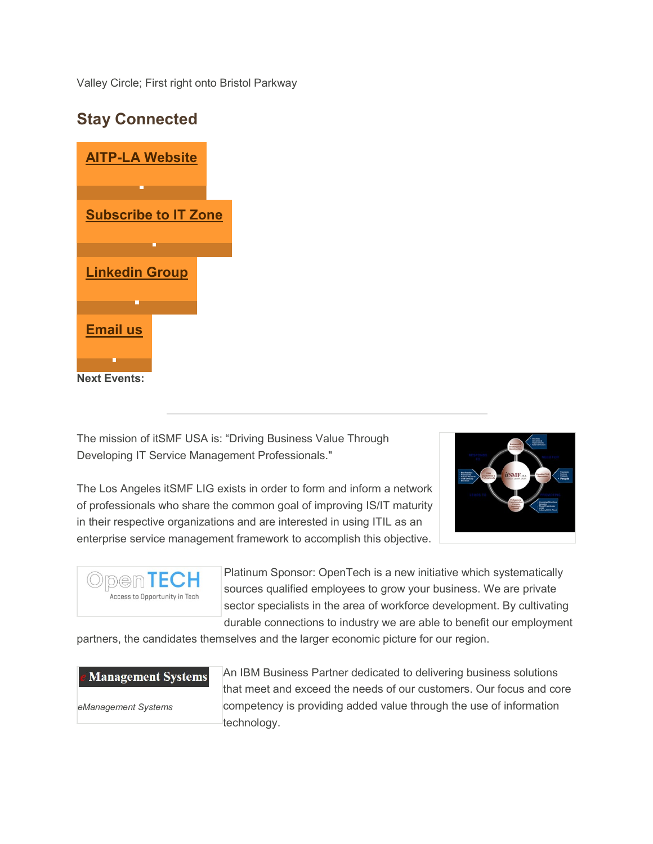Valley Circle; First right onto Bristol Parkway

# **[AITP-LA Website](https://sable.godaddy.com/c/50559?id=20020.564.1.ffa86794a18c780b0859f6e9ef3418bf) [Subscribe to IT Zone](https://sable.godaddy.com/c/50559?id=20020.565.1.90678b4c3cb257ee9afdd245fe4a69d3) [Linkedin Group](https://sable.godaddy.com/c/50559?id=20020.566.1.d0e63ad0da5b8a99808a18562bbdca04) [Email us](mailto:info@aitp-la.org) Next Events:**

**Stay Connected**

The mission of itSMF USA is: "Driving Business Value Through Developing IT Service Management Professionals."



The Los Angeles itSMF LIG exists in order to form and inform a network of professionals who share the common goal of improving IS/IT maturity in their respective organizations and are interested in using ITIL as an enterprise service management framework to accomplish this objective.



Platinum Sponsor: OpenTech is a new initiative which systematically sources qualified employees to grow your business. We are private sector specialists in the area of workforce development. By cultivating durable connections to industry we are able to benefit our employment

partners, the candidates themselves and the larger economic picture for our region.

#### **Management Systems**

*eManagement Systems*

An IBM Business Partner dedicated to delivering business solutions that meet and exceed the needs of our customers. Our focus and core competency is providing added value through the use of information technology.